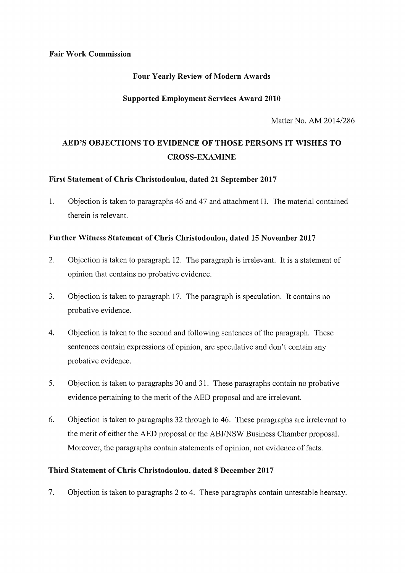#### **Fair Work Commission**

#### **Four Yearly Review of Modern Awards**

#### **Supported Employment Services Award 2010**

Matter No. AM 2014/286

# **AED'S OBJECTIONS TO EVIDENCE OF THOSE PERSONS IT WISHES TO CROSS-EXAMINE**

# **First Statement of Chris Christodoulou, dated 21 September 2017**

1. Objection is taken to paragraphs 46 and 47 and attachment H. The material contained therein is relevant.

# **Further Witness Statement of Chris Christodoulou, dated 15 November 2017**

- 2. Objection is taken to paragraph 12. The paragraph is irrelevant. It is a statement of opinion that contains no probative evidence.
- 3. Objection is taken to paragraph 17. The paragraph is speculation. It contains no probative evidence.
- 4. Objection is taken to the second and following sentences of the paragraph. These sentences contain expressions of opinion, are speculative and don't contain any probative evidence.
- 5. Objection is taken to paragraphs 30 and 31. These paragraphs contain no probative evidence pertaining to the merit of the AED proposal and are irrelevant.
- 6. Objection is taken to paragraphs 32 through to 46. These paragraphs are irrelevant to the merit of either the AED proposal or the ABI/NSW Business Chamber proposal. Moreover, the paragraphs contain statements of opinion, not evidence of facts.

#### **Third Statement of Chris Christodoulou, dated 8 December 2017**

7. Objection is taken to paragraphs 2 to 4. These paragraphs contain untestable hearsay.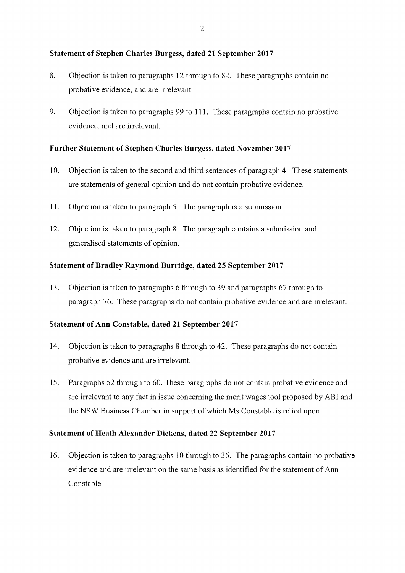# **Statement of Stephen Charles Burgess, dated 21 September 2017**

- 8. Objection is taken to paragraphs 12 through to 82. These paragraphs contain no probative evidence, and are irrelevant.
- 9. Objection is taken to paragraphs 99 to 111. These paragraphs contain no probative evidence, and are irrelevant.

# **Further Statement of Stephen Charles Burgess, dated November 2017**

- 10. Objection is taken to the second and third sentences of paragraph 4. These statements are statements of general opinion and do not contain probative evidence.
- 11. Objection is taken to paragraph 5. The paragraph is a submission.
- 12. Objection is taken to paragraph 8. The paragraph contains a submission and generalised statements of opinion.

# **Statement of Bradley Raymond Burridge, dated 25 September 2017**

13. Objection is taken to paragraphs 6 through to 39 and paragraphs 67 through to paragraph 76. These paragraphs do not contain probative evidence and are irrelevant.

# **Statement of Ann Constable, dated 21 September 2017**

- 14. Objection is taken to paragraphs 8 through to 42. These paragraphs do not contain probative evidence and are irrelevant.
- 15. Paragraphs 52 through to 60. These paragraphs do not contain probative evidence and are irrelevant to any fact in issue concerning the merit wages tool proposed by ABI and the NSW Business Chamber in support of which Ms Constable is relied upon.

# **Statement of Heath Alexander Dickens, dated 22 September 2017**

16. Objection is taken to paragraphs 10 through to 36. The paragraphs contain no probative evidence and are irrelevant on the same basis as identified for the statement of Ann Constable.